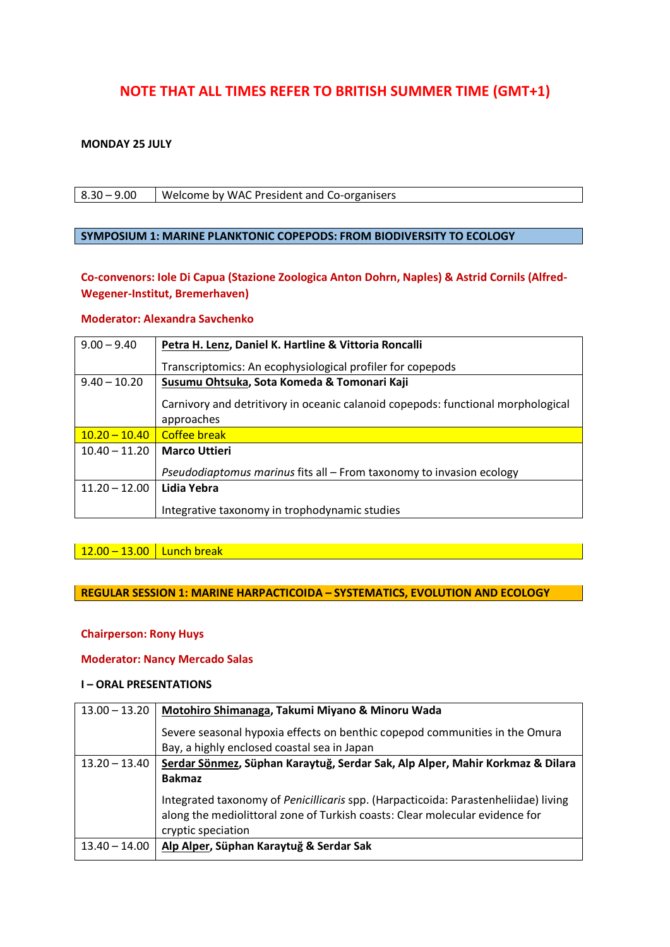# **NOTE THAT ALL TIMES REFER TO BRITISH SUMMER TIME (GMT+1)**

#### **MONDAY 25 JULY**

8.30 – 9.00 Welcome by WAC President and Co-organisers

#### **SYMPOSIUM 1: MARINE PLANKTONIC COPEPODS: FROM BIODIVERSITY TO ECOLOGY**

**Co-convenors: Iole Di Capua (Stazione Zoologica Anton Dohrn, Naples) & Astrid Cornils (Alfred-Wegener-Institut, Bremerhaven)**

#### **Moderator: Alexandra Savchenko**

| $9.00 - 9.40$   | Petra H. Lenz, Daniel K. Hartline & Vittoria Roncalli                                          |
|-----------------|------------------------------------------------------------------------------------------------|
|                 | Transcriptomics: An ecophysiological profiler for copepods                                     |
| $9.40 - 10.20$  | Susumu Ohtsuka, Sota Komeda & Tomonari Kaji                                                    |
|                 | Carnivory and detritivory in oceanic calanoid copepods: functional morphological<br>approaches |
| $10.20 - 10.40$ | Coffee break                                                                                   |
| $10.40 - 11.20$ | <b>Marco Uttieri</b>                                                                           |
|                 | Pseudodiaptomus marinus fits all - From taxonomy to invasion ecology                           |
| $11.20 - 12.00$ | Lidia Yebra                                                                                    |
|                 | Integrative taxonomy in trophodynamic studies                                                  |

 $12.00 - 13.00$  Lunch break

**REGULAR SESSION 1: MARINE HARPACTICOIDA – SYSTEMATICS, EVOLUTION AND ECOLOGY**

#### **Chairperson: Rony Huys**

#### **Moderator: Nancy Mercado Salas**

#### **I – ORAL PRESENTATIONS**

| $13.00 - 13.20$ | Motohiro Shimanaga, Takumi Miyano & Minoru Wada                                                                                                                     |
|-----------------|---------------------------------------------------------------------------------------------------------------------------------------------------------------------|
|                 | Severe seasonal hypoxia effects on benthic copepod communities in the Omura                                                                                         |
|                 | Bay, a highly enclosed coastal sea in Japan                                                                                                                         |
| $13.20 - 13.40$ | Serdar Sönmez, Süphan Karaytuğ, Serdar Sak, Alp Alper, Mahir Korkmaz & Dilara                                                                                       |
|                 | <b>Bakmaz</b>                                                                                                                                                       |
|                 | Integrated taxonomy of Penicillicaris spp. (Harpacticoida: Parastenheliidae) living<br>along the mediolittoral zone of Turkish coasts: Clear molecular evidence for |
|                 | cryptic speciation                                                                                                                                                  |
| $13.40 - 14.00$ | Alp Alper, Süphan Karaytuğ & Serdar Sak                                                                                                                             |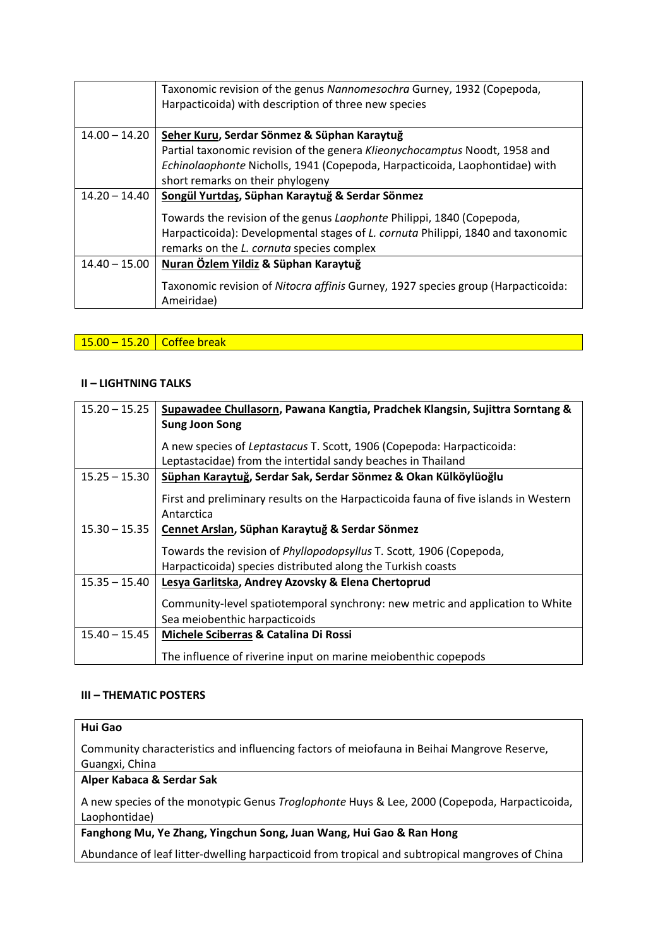|                 | Taxonomic revision of the genus Nannomesochra Gurney, 1932 (Copepoda,<br>Harpacticoida) with description of three new species |
|-----------------|-------------------------------------------------------------------------------------------------------------------------------|
| $14.00 - 14.20$ | Seher Kuru, Serdar Sönmez & Süphan Karaytuğ                                                                                   |
|                 | Partial taxonomic revision of the genera Klieonychocamptus Noodt, 1958 and                                                    |
|                 | Echinolaophonte Nicholls, 1941 (Copepoda, Harpacticoida, Laophontidae) with                                                   |
|                 | short remarks on their phylogeny                                                                                              |
| $14.20 - 14.40$ | Songül Yurtdaş, Süphan Karaytuğ & Serdar Sönmez                                                                               |
|                 | Towards the revision of the genus Laophonte Philippi, 1840 (Copepoda,                                                         |
|                 | Harpacticoida): Developmental stages of L. cornuta Philippi, 1840 and taxonomic                                               |
|                 | remarks on the L. cornuta species complex                                                                                     |
| $14.40 - 15.00$ | Nuran Özlem Yildiz & Süphan Karaytuğ                                                                                          |
|                 | Taxonomic revision of Nitocra affinis Gurney, 1927 species group (Harpacticoida:<br>Ameiridae)                                |

# $15.00 - 15.20$  Coffee break

#### **II – LIGHTNING TALKS**

| $15.20 - 15.25$ | Supawadee Chullasorn, Pawana Kangtia, Pradchek Klangsin, Sujittra Sorntang &                                                              |
|-----------------|-------------------------------------------------------------------------------------------------------------------------------------------|
|                 | <b>Sung Joon Song</b>                                                                                                                     |
|                 | A new species of Leptastacus T. Scott, 1906 (Copepoda: Harpacticoida:                                                                     |
|                 | Leptastacidae) from the intertidal sandy beaches in Thailand                                                                              |
| $15.25 - 15.30$ | Süphan Karaytuğ, Serdar Sak, Serdar Sönmez & Okan Külköylüoğlu                                                                            |
|                 | First and preliminary results on the Harpacticoida fauna of five islands in Western<br>Antarctica                                         |
| $15.30 - 15.35$ | Cennet Arslan, Süphan Karaytuğ & Serdar Sönmez                                                                                            |
|                 | Towards the revision of <i>Phyllopodopsyllus</i> T. Scott, 1906 (Copepoda,<br>Harpacticoida) species distributed along the Turkish coasts |
| $15.35 - 15.40$ | Lesya Garlitska, Andrey Azovsky & Elena Chertoprud                                                                                        |
|                 | Community-level spatiotemporal synchrony: new metric and application to White<br>Sea meiobenthic harpacticoids                            |
| $15.40 - 15.45$ | Michele Sciberras & Catalina Di Rossi                                                                                                     |
|                 | The influence of riverine input on marine meiobenthic copepods                                                                            |

#### **III – THEMATIC POSTERS**

### **Hui Gao**

Community characteristics and influencing factors of meiofauna in Beihai Mangrove Reserve, Guangxi, China

#### **Alper Kabaca & Serdar Sak**

A new species of the monotypic Genus *Troglophonte* Huys & Lee, 2000 (Copepoda, Harpacticoida, Laophontidae)

### **Fanghong Mu, Ye Zhang, Yingchun Song, Juan Wang, Hui Gao & Ran Hong**

Abundance of leaf litter-dwelling harpacticoid from tropical and subtropical mangroves of China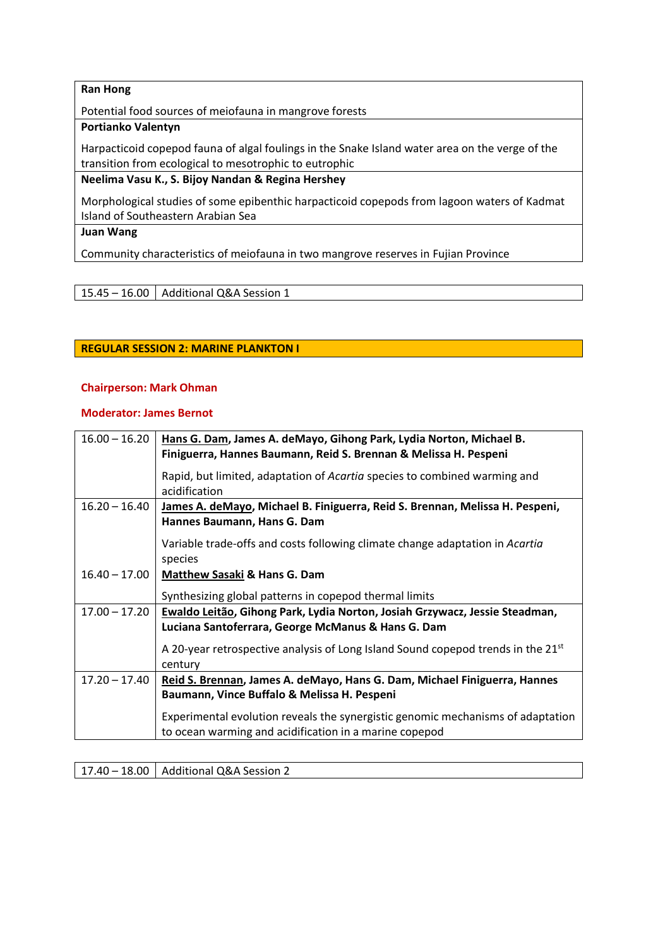### **Ran Hong**

Potential food sources of meiofauna in mangrove forests

#### **Portianko Valentyn**

Harpacticoid copepod fauna of algal foulings in the Snake Island water area on the verge of the transition from ecological to mesotrophic to eutrophic

### **Neelima Vasu K., S. Bijoy Nandan & Regina Hershey**

Morphological studies of some epibenthic harpacticoid copepods from lagoon waters of Kadmat Island of Southeastern Arabian Sea

# **Juan Wang**

Community characteristics of meiofauna in two mangrove reserves in Fujian Province

### 15.45 – 16.00  $\vert$  Additional Q&A Session 1

#### **REGULAR SESSION 2: MARINE PLANKTON I**

#### **Chairperson: Mark Ohman**

### **Moderator: James Bernot**

| $16.00 - 16.20$ | Hans G. Dam, James A. deMayo, Gihong Park, Lydia Norton, Michael B.<br>Finiguerra, Hannes Baumann, Reid S. Brennan & Melissa H. Pespeni |
|-----------------|-----------------------------------------------------------------------------------------------------------------------------------------|
|                 | Rapid, but limited, adaptation of Acartia species to combined warming and<br>acidification                                              |
| $16.20 - 16.40$ | James A. deMayo, Michael B. Finiguerra, Reid S. Brennan, Melissa H. Pespeni,<br>Hannes Baumann, Hans G. Dam                             |
|                 | Variable trade-offs and costs following climate change adaptation in Acartia<br>species                                                 |
| $16.40 - 17.00$ | <b>Matthew Sasaki &amp; Hans G. Dam</b>                                                                                                 |
|                 | Synthesizing global patterns in copepod thermal limits                                                                                  |
| $17.00 - 17.20$ | Ewaldo Leitão, Gihong Park, Lydia Norton, Josiah Grzywacz, Jessie Steadman,                                                             |
|                 | Luciana Santoferrara, George McManus & Hans G. Dam                                                                                      |
|                 | A 20-year retrospective analysis of Long Island Sound copepod trends in the 21 <sup>st</sup>                                            |
|                 | century                                                                                                                                 |
| $17.20 - 17.40$ | Reid S. Brennan, James A. deMayo, Hans G. Dam, Michael Finiguerra, Hannes                                                               |
|                 | Baumann, Vince Buffalo & Melissa H. Pespeni                                                                                             |
|                 | Experimental evolution reveals the synergistic genomic mechanisms of adaptation                                                         |
|                 | to ocean warming and acidification in a marine copepod                                                                                  |

17.40 – 18.00 | Additional Q&A Session 2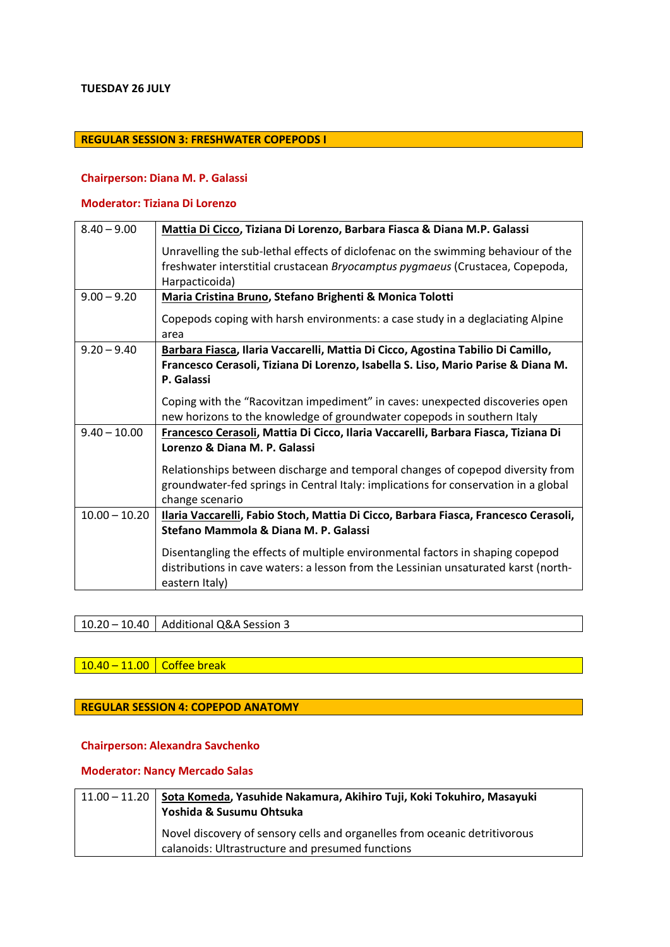#### **TUESDAY 26 JULY**

# **REGULAR SESSION 3: FRESHWATER COPEPODS I**

#### **Chairperson: Diana M. P. Galassi**

### **Moderator: Tiziana Di Lorenzo**

| $8.40 - 9.00$   | Mattia Di Cicco, Tiziana Di Lorenzo, Barbara Fiasca & Diana M.P. Galassi             |
|-----------------|--------------------------------------------------------------------------------------|
|                 | Unravelling the sub-lethal effects of diclofenac on the swimming behaviour of the    |
|                 | freshwater interstitial crustacean Bryocamptus pygmaeus (Crustacea, Copepoda,        |
|                 | Harpacticoida)                                                                       |
| $9.00 - 9.20$   | Maria Cristina Bruno, Stefano Brighenti & Monica Tolotti                             |
|                 | Copepods coping with harsh environments: a case study in a deglaciating Alpine       |
|                 | area                                                                                 |
| $9.20 - 9.40$   | Barbara Fiasca, Ilaria Vaccarelli, Mattia Di Cicco, Agostina Tabilio Di Camillo,     |
|                 | Francesco Cerasoli, Tiziana Di Lorenzo, Isabella S. Liso, Mario Parise & Diana M.    |
|                 | P. Galassi                                                                           |
|                 | Coping with the "Racovitzan impediment" in caves: unexpected discoveries open        |
|                 | new horizons to the knowledge of groundwater copepods in southern Italy              |
| $9.40 - 10.00$  | Francesco Cerasoli, Mattia Di Cicco, Ilaria Vaccarelli, Barbara Fiasca, Tiziana Di   |
|                 | Lorenzo & Diana M. P. Galassi                                                        |
|                 | Relationships between discharge and temporal changes of copepod diversity from       |
|                 | groundwater-fed springs in Central Italy: implications for conservation in a global  |
|                 | change scenario                                                                      |
| $10.00 - 10.20$ | Ilaria Vaccarelli, Fabio Stoch, Mattia Di Cicco, Barbara Fiasca, Francesco Cerasoli, |
|                 | Stefano Mammola & Diana M. P. Galassi                                                |
|                 | Disentangling the effects of multiple environmental factors in shaping copepod       |
|                 | distributions in cave waters: a lesson from the Lessinian unsaturated karst (north-  |
|                 | eastern Italy)                                                                       |

10.20 – 10.40 | Additional Q&A Session 3

# 10.40 – 11.00 Coffee break

#### **REGULAR SESSION 4: COPEPOD ANATOMY**

#### **Chairperson: Alexandra Savchenko**

### **Moderator: Nancy Mercado Salas**

| $11.00 - 11.20$ Sota Komeda, Yasuhide Nakamura, Akihiro Tuji, Koki Tokuhiro, Masayuki<br>Yoshida & Susumu Ohtsuka              |
|--------------------------------------------------------------------------------------------------------------------------------|
| Novel discovery of sensory cells and organelles from oceanic detritivorous<br>calanoids: Ultrastructure and presumed functions |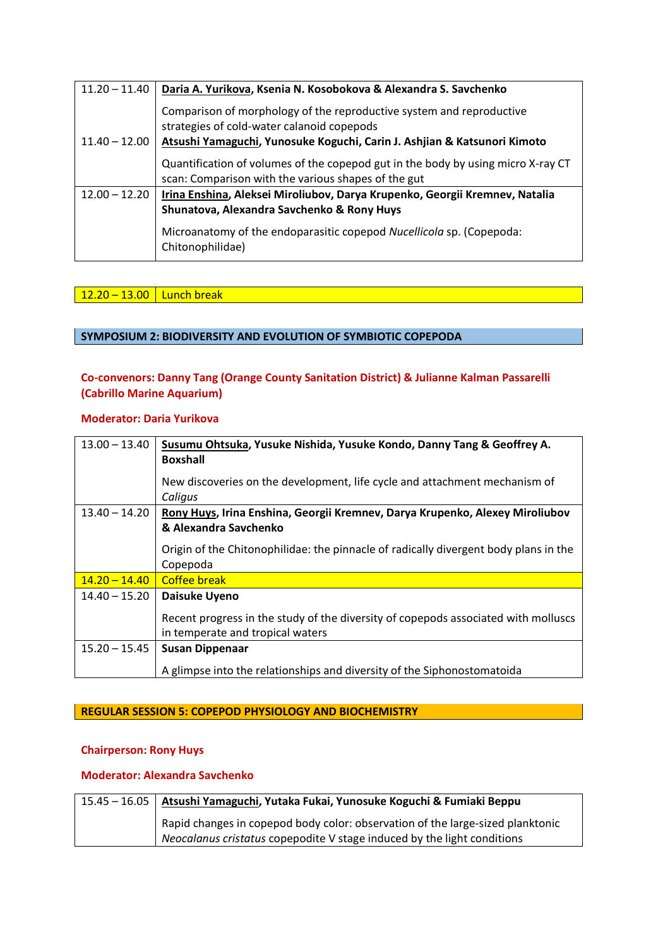| $11.20 - 11.40$ | Daria A. Yurikova, Ksenia N. Kosobokova & Alexandra S. Savchenko                                                                        |
|-----------------|-----------------------------------------------------------------------------------------------------------------------------------------|
|                 | Comparison of morphology of the reproductive system and reproductive<br>strategies of cold-water calanoid copepods                      |
| $11.40 - 12.00$ | Atsushi Yamaguchi, Yunosuke Koguchi, Carin J. Ashjian & Katsunori Kimoto                                                                |
|                 | Quantification of volumes of the copepod gut in the body by using micro X-ray CT<br>scan: Comparison with the various shapes of the gut |
| $12.00 - 12.20$ | Irina Enshina, Aleksei Miroliubov, Darya Krupenko, Georgii Kremnev, Natalia                                                             |
|                 | Shunatova, Alexandra Savchenko & Rony Huys                                                                                              |
|                 | Microanatomy of the endoparasitic copepod Nucellicola sp. (Copepoda:<br>Chitonophilidae)                                                |

### 12.20 – 13.00 Lunch break

### **SYMPOSIUM 2: BIODIVERSITY AND EVOLUTION OF SYMBIOTIC COPEPODA**

### **Co-convenors: Danny Tang (Orange County Sanitation District) & Julianne Kalman Passarelli (Cabrillo Marine Aquarium)**

#### **Moderator: Daria Yurikova**

| $13.00 - 13.40$ | Susumu Ohtsuka, Yusuke Nishida, Yusuke Kondo, Danny Tang & Geoffrey A.<br><b>Boxshall</b>                              |
|-----------------|------------------------------------------------------------------------------------------------------------------------|
|                 | New discoveries on the development, life cycle and attachment mechanism of<br>Caligus                                  |
| $13.40 - 14.20$ | Rony Huys, Irina Enshina, Georgii Kremnev, Darya Krupenko, Alexey Miroliubov<br>& Alexandra Savchenko                  |
|                 | Origin of the Chitonophilidae: the pinnacle of radically divergent body plans in the<br>Copepoda                       |
| $14.20 - 14.40$ | <b>Coffee break</b>                                                                                                    |
| $14.40 - 15.20$ | Daisuke Uyeno                                                                                                          |
|                 | Recent progress in the study of the diversity of copepods associated with molluscs<br>in temperate and tropical waters |
| $15.20 - 15.45$ | <b>Susan Dippenaar</b>                                                                                                 |
|                 | A glimpse into the relationships and diversity of the Siphonostomatoida                                                |

### **REGULAR SESSION 5: COPEPOD PHYSIOLOGY AND BIOCHEMISTRY**

#### **Chairperson: Rony Huys**

#### **Moderator: Alexandra Savchenko**

| 15.45 – 16.05   Atsushi Yamaguchi, Yutaka Fukai, Yunosuke Koguchi & Fumiaki Beppu                                                                         |
|-----------------------------------------------------------------------------------------------------------------------------------------------------------|
| Rapid changes in copepod body color: observation of the large-sized planktonic<br>Neocalanus cristatus copepodite V stage induced by the light conditions |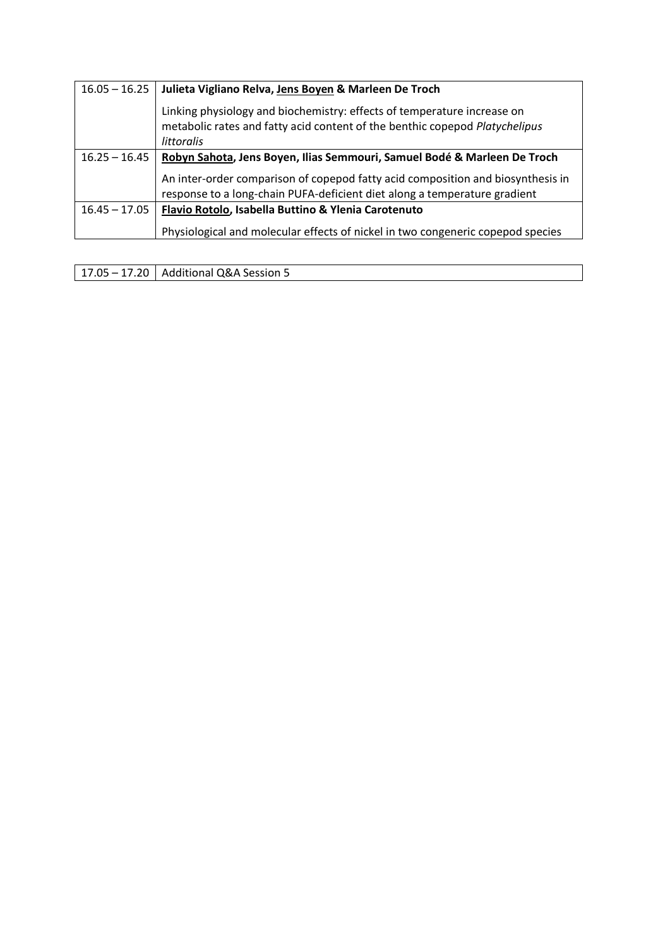| $16.05 - 16.25$ | Julieta Vigliano Relva, Jens Boyen & Marleen De Troch                                                                                                                       |
|-----------------|-----------------------------------------------------------------------------------------------------------------------------------------------------------------------------|
|                 | Linking physiology and biochemistry: effects of temperature increase on<br>metabolic rates and fatty acid content of the benthic copepod Platychelipus<br><i>littoralis</i> |
| $16.25 - 16.45$ | Robyn Sahota, Jens Boyen, Ilias Semmouri, Samuel Bodé & Marleen De Troch                                                                                                    |
|                 | An inter-order comparison of copepod fatty acid composition and biosynthesis in<br>response to a long-chain PUFA-deficient diet along a temperature gradient                |
| $16.45 - 17.05$ | Flavio Rotolo, Isabella Buttino & Ylenia Carotenuto                                                                                                                         |
|                 | Physiological and molecular effects of nickel in two congeneric copepod species                                                                                             |

 $\sqrt{17.05 - 17.20}$  Additional Q&A Session 5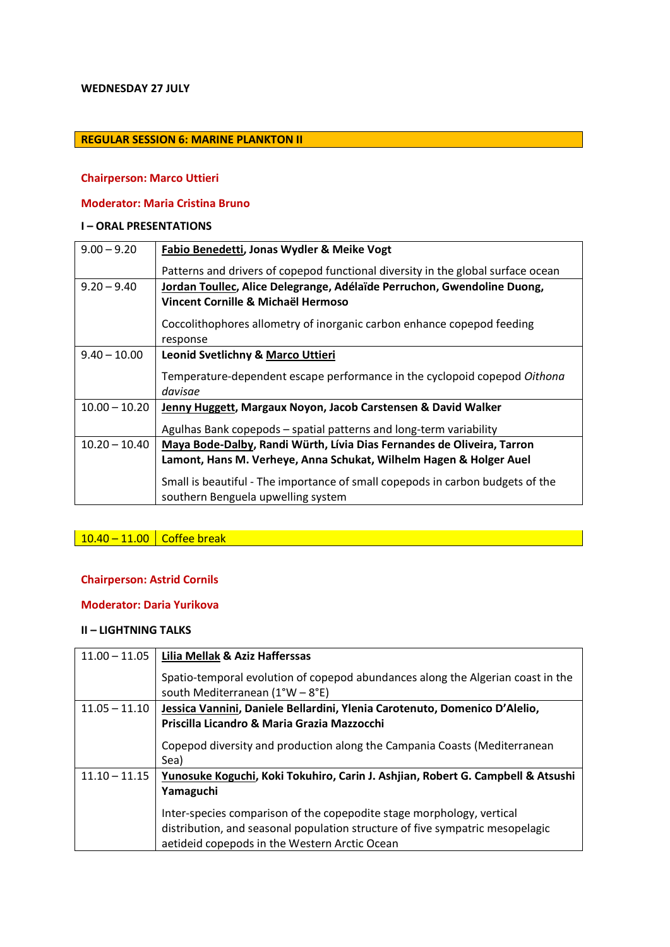#### **WEDNESDAY 27 JULY**

### **REGULAR SESSION 6: MARINE PLANKTON II**

#### **Chairperson: Marco Uttieri**

### **Moderator: Maria Cristina Bruno**

#### **I – ORAL PRESENTATIONS**

| $9.00 - 9.20$   | Fabio Benedetti, Jonas Wydler & Meike Vogt                                       |
|-----------------|----------------------------------------------------------------------------------|
|                 | Patterns and drivers of copepod functional diversity in the global surface ocean |
| $9.20 - 9.40$   | Jordan Toullec, Alice Delegrange, Adélaïde Perruchon, Gwendoline Duong,          |
|                 | Vincent Cornille & Michaël Hermoso                                               |
|                 | Coccolithophores allometry of inorganic carbon enhance copepod feeding           |
|                 | response                                                                         |
| $9.40 - 10.00$  | <b>Leonid Svetlichny &amp; Marco Uttieri</b>                                     |
|                 | Temperature-dependent escape performance in the cyclopoid copepod Oithona        |
|                 | davisae                                                                          |
| $10.00 - 10.20$ | Jenny Huggett, Margaux Noyon, Jacob Carstensen & David Walker                    |
|                 | Agulhas Bank copepods – spatial patterns and long-term variability               |
| $10.20 - 10.40$ | Maya Bode-Dalby, Randi Würth, Lívia Dias Fernandes de Oliveira, Tarron           |
|                 | Lamont, Hans M. Verheye, Anna Schukat, Wilhelm Hagen & Holger Auel               |
|                 | Small is beautiful - The importance of small copepods in carbon budgets of the   |
|                 | southern Benguela upwelling system                                               |

# 10.40 – 11.00 Coffee break

# **Chairperson: Astrid Cornils**

#### **Moderator: Daria Yurikova**

| $11.00 - 11.05$ | Lilia Mellak & Aziz Hafferssas                                                                                       |
|-----------------|----------------------------------------------------------------------------------------------------------------------|
|                 | Spatio-temporal evolution of copepod abundances along the Algerian coast in the<br>south Mediterranean $(1°W - 8°E)$ |
| $11.05 - 11.10$ | Jessica Vannini, Daniele Bellardini, Ylenia Carotenuto, Domenico D'Alelio,                                           |
|                 | Priscilla Licandro & Maria Grazia Mazzocchi                                                                          |
|                 | Copepod diversity and production along the Campania Coasts (Mediterranean                                            |
|                 | Sea)                                                                                                                 |
| $11.10 - 11.15$ | Yunosuke Koguchi, Koki Tokuhiro, Carin J. Ashjian, Robert G. Campbell & Atsushi                                      |
|                 | Yamaguchi                                                                                                            |
|                 | Inter-species comparison of the copepodite stage morphology, vertical                                                |
|                 | distribution, and seasonal population structure of five sympatric mesopelagic                                        |
|                 | aetideid copepods in the Western Arctic Ocean                                                                        |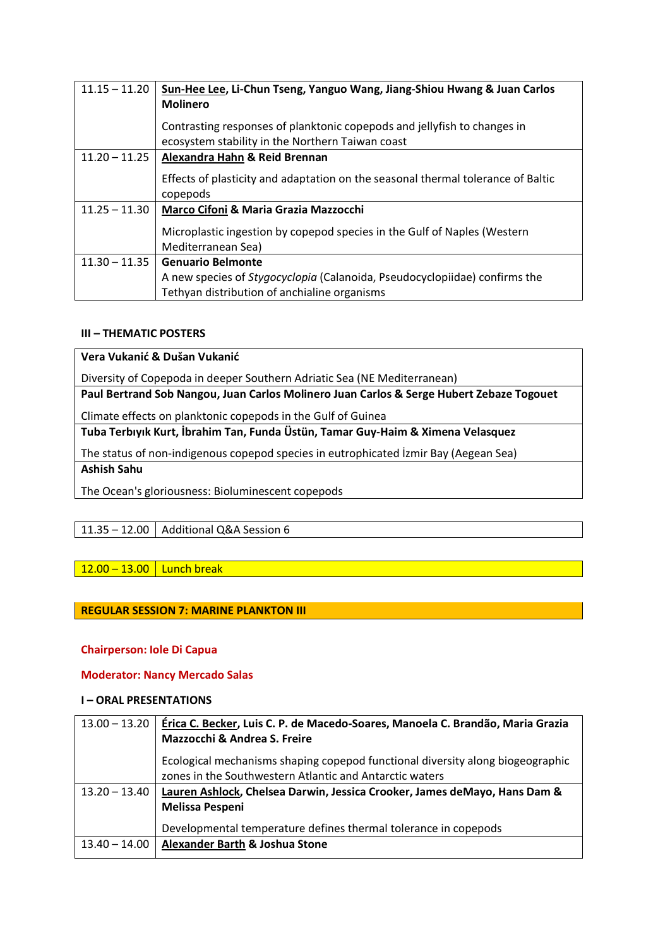| $11.15 - 11.20$ | Sun-Hee Lee, Li-Chun Tseng, Yanguo Wang, Jiang-Shiou Hwang & Juan Carlos<br><b>Molinero</b>    |
|-----------------|------------------------------------------------------------------------------------------------|
|                 | Contrasting responses of planktonic copepods and jellyfish to changes in                       |
|                 | ecosystem stability in the Northern Taiwan coast                                               |
| $11.20 - 11.25$ | Alexandra Hahn & Reid Brennan                                                                  |
|                 | Effects of plasticity and adaptation on the seasonal thermal tolerance of Baltic<br>copepods   |
| $11.25 - 11.30$ | Marco Cifoni & Maria Grazia Mazzocchi                                                          |
|                 | Microplastic ingestion by copepod species in the Gulf of Naples (Western<br>Mediterranean Sea) |
| $11.30 - 11.35$ | <b>Genuario Belmonte</b>                                                                       |
|                 | A new species of <i>Stygocyclopia</i> (Calanoida, Pseudocyclopiidae) confirms the              |
|                 | Tethyan distribution of anchialine organisms                                                   |

### **III – THEMATIC POSTERS**

**Vera Vukanić & Dušan Vukanić**

Diversity of Copepoda in deeper Southern Adriatic Sea (NE Mediterranean)

**Paul Bertrand Sob Nangou, Juan Carlos Molinero Juan Carlos & Serge Hubert Zebaze Togouet**

Climate effects on planktonic copepods in the Gulf of Guinea

**Tuba Terbıyık Kurt, İbrahim Tan, Funda Üstün, Tamar Guy-Haim & Ximena Velasquez**

The status of non-indigenous copepod species in eutrophicated İzmir Bay (Aegean Sea) **Ashish Sahu**

The Ocean's gloriousness: Bioluminescent copepods

# 11.35 – 12.00 | Additional Q&A Session 6

# $12.00 - 13.00$  Lunch break

# **REGULAR SESSION 7: MARINE PLANKTON III**

### **Chairperson: Iole Di Capua**

### **Moderator: Nancy Mercado Salas**

#### **I – ORAL PRESENTATIONS**

| $13.00 - 13.20$ | Érica C. Becker, Luis C. P. de Macedo-Soares, Manoela C. Brandão, Maria Grazia                                                            |
|-----------------|-------------------------------------------------------------------------------------------------------------------------------------------|
|                 | Mazzocchi & Andrea S. Freire                                                                                                              |
|                 | Ecological mechanisms shaping copepod functional diversity along biogeographic<br>zones in the Southwestern Atlantic and Antarctic waters |
| $13.20 - 13.40$ | Lauren Ashlock, Chelsea Darwin, Jessica Crooker, James deMayo, Hans Dam &                                                                 |
|                 | <b>Melissa Pespeni</b>                                                                                                                    |
|                 | Developmental temperature defines thermal tolerance in copepods                                                                           |
| $13.40 - 14.00$ | Alexander Barth & Joshua Stone                                                                                                            |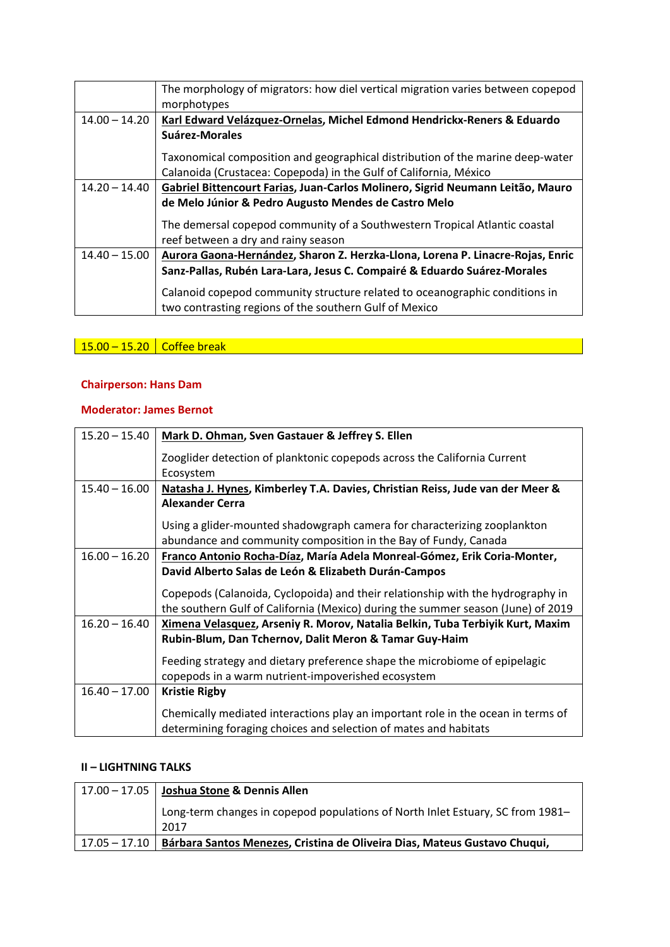|                 | The morphology of migrators: how diel vertical migration varies between copepod |
|-----------------|---------------------------------------------------------------------------------|
|                 | morphotypes                                                                     |
| $14.00 - 14.20$ | Karl Edward Velázquez-Ornelas, Michel Edmond Hendrickx-Reners & Eduardo         |
|                 | Suárez-Morales                                                                  |
|                 | Taxonomical composition and geographical distribution of the marine deep-water  |
|                 | Calanoida (Crustacea: Copepoda) in the Gulf of California, México               |
| $14.20 - 14.40$ | Gabriel Bittencourt Farias, Juan-Carlos Molinero, Sigrid Neumann Leitão, Mauro  |
|                 | de Melo Júnior & Pedro Augusto Mendes de Castro Melo                            |
|                 | The demersal copepod community of a Southwestern Tropical Atlantic coastal      |
|                 | reef between a dry and rainy season                                             |
| $14.40 - 15.00$ | Aurora Gaona-Hernández, Sharon Z. Herzka-Llona, Lorena P. Linacre-Rojas, Enric  |
|                 | Sanz-Pallas, Rubén Lara-Lara, Jesus C. Compairé & Eduardo Suárez-Morales        |
|                 | Calanoid copepod community structure related to oceanographic conditions in     |
|                 | two contrasting regions of the southern Gulf of Mexico                          |

# 15.00 – 15.20 Coffee break and the state of the state of the state of the state of the state of the state of t

# **Chairperson: Hans Dam**

### **Moderator: James Bernot**

| $15.20 - 15.40$ | Mark D. Ohman, Sven Gastauer & Jeffrey S. Ellen                                  |
|-----------------|----------------------------------------------------------------------------------|
|                 | Zooglider detection of planktonic copepods across the California Current         |
|                 | Ecosystem                                                                        |
| $15.40 - 16.00$ | Natasha J. Hynes, Kimberley T.A. Davies, Christian Reiss, Jude van der Meer &    |
|                 | <b>Alexander Cerra</b>                                                           |
|                 | Using a glider-mounted shadowgraph camera for characterizing zooplankton         |
|                 | abundance and community composition in the Bay of Fundy, Canada                  |
|                 |                                                                                  |
| $16.00 - 16.20$ | Franco Antonio Rocha-Díaz, María Adela Monreal-Gómez, Erik Coria-Monter,         |
|                 | David Alberto Salas de León & Elizabeth Durán-Campos                             |
|                 | Copepods (Calanoida, Cyclopoida) and their relationship with the hydrography in  |
|                 | the southern Gulf of California (Mexico) during the summer season (June) of 2019 |
| $16.20 - 16.40$ | Ximena Velasquez, Arseniy R. Morov, Natalia Belkin, Tuba Terbiyik Kurt, Maxim    |
|                 | Rubin-Blum, Dan Tchernov, Dalit Meron & Tamar Guy-Haim                           |
|                 | Feeding strategy and dietary preference shape the microbiome of epipelagic       |
|                 | copepods in a warm nutrient-impoverished ecosystem                               |
| $16.40 - 17.00$ | <b>Kristie Rigby</b>                                                             |
|                 | Chemically mediated interactions play an important role in the ocean in terms of |
|                 | determining foraging choices and selection of mates and habitats                 |
|                 |                                                                                  |

|                   | $\vert$ 17.00 – 17.05 $\vert$ Joshua Stone & Dennis Allen                      |
|-------------------|--------------------------------------------------------------------------------|
|                   | Long-term changes in copepod populations of North Inlet Estuary, SC from 1981– |
|                   | 2017                                                                           |
| l 17.05 – 17.10 l | Bárbara Santos Menezes, Cristina de Oliveira Dias, Mateus Gustavo Chuqui,      |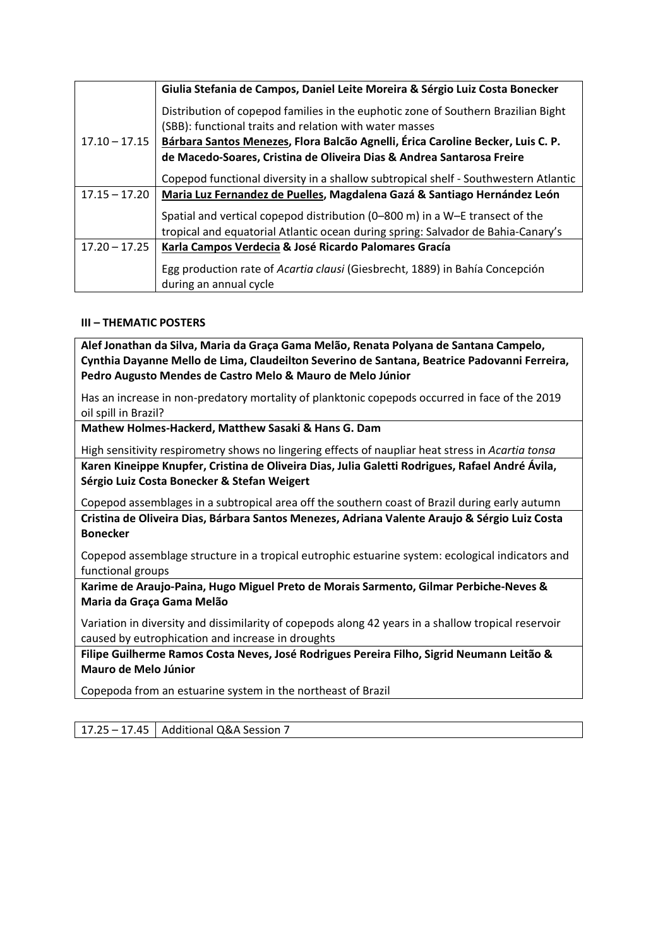|                 | Giulia Stefania de Campos, Daniel Leite Moreira & Sérgio Luiz Costa Bonecker                                                                                     |
|-----------------|------------------------------------------------------------------------------------------------------------------------------------------------------------------|
|                 | Distribution of copepod families in the euphotic zone of Southern Brazilian Bight                                                                                |
|                 | (SBB): functional traits and relation with water masses                                                                                                          |
| $17.10 - 17.15$ | Bárbara Santos Menezes, Flora Balcão Agnelli, Érica Caroline Becker, Luis C. P.                                                                                  |
|                 | de Macedo-Soares, Cristina de Oliveira Dias & Andrea Santarosa Freire                                                                                            |
|                 | Copepod functional diversity in a shallow subtropical shelf - Southwestern Atlantic                                                                              |
| $17.15 - 17.20$ | Maria Luz Fernandez de Puelles, Magdalena Gazá & Santiago Hernández León                                                                                         |
|                 | Spatial and vertical copepod distribution (0-800 m) in a W-E transect of the<br>tropical and equatorial Atlantic ocean during spring: Salvador de Bahia-Canary's |
| $17.20 - 17.25$ | Karla Campos Verdecia & José Ricardo Palomares Gracía                                                                                                            |
|                 | Egg production rate of Acartia clausi (Giesbrecht, 1889) in Bahía Concepción<br>during an annual cycle                                                           |

### **III – THEMATIC POSTERS**

**Alef Jonathan da Silva, Maria da Graça Gama Melão, Renata Polyana de Santana Campelo, Cynthia Dayanne Mello de Lima, Claudeilton Severino de Santana, Beatrice Padovanni Ferreira, Pedro Augusto Mendes de Castro Melo & Mauro de Melo Júnior**

Has an increase in non-predatory mortality of planktonic copepods occurred in face of the 2019 oil spill in Brazil?

**Mathew Holmes-Hackerd, Matthew Sasaki & Hans G. Dam**

High sensitivity respirometry shows no lingering effects of naupliar heat stress in *Acartia tonsa*

**Karen Kineippe Knupfer, Cristina de Oliveira Dias, Julia Galetti Rodrigues, Rafael André Ávila, Sérgio Luiz Costa Bonecker & Stefan Weigert**

Copepod assemblages in a subtropical area off the southern coast of Brazil during early autumn **Cristina de Oliveira Dias, Bárbara Santos Menezes, Adriana Valente Araujo & Sérgio Luiz Costa Bonecker**

Copepod assemblage structure in a tropical eutrophic estuarine system: ecological indicators and functional groups

**Karime de Araujo-Paina, Hugo Miguel Preto de Morais Sarmento, Gilmar Perbiche-Neves & Maria da Graça Gama Melão**

Variation in diversity and dissimilarity of copepods along 42 years in a shallow tropical reservoir caused by eutrophication and increase in droughts

**Filipe Guilherme Ramos Costa Neves, José Rodrigues Pereira Filho, Sigrid Neumann Leitão & Mauro de Melo Júnior**

Copepoda from an estuarine system in the northeast of Brazil

17.25 – 17.45 | Additional Q&A Session 7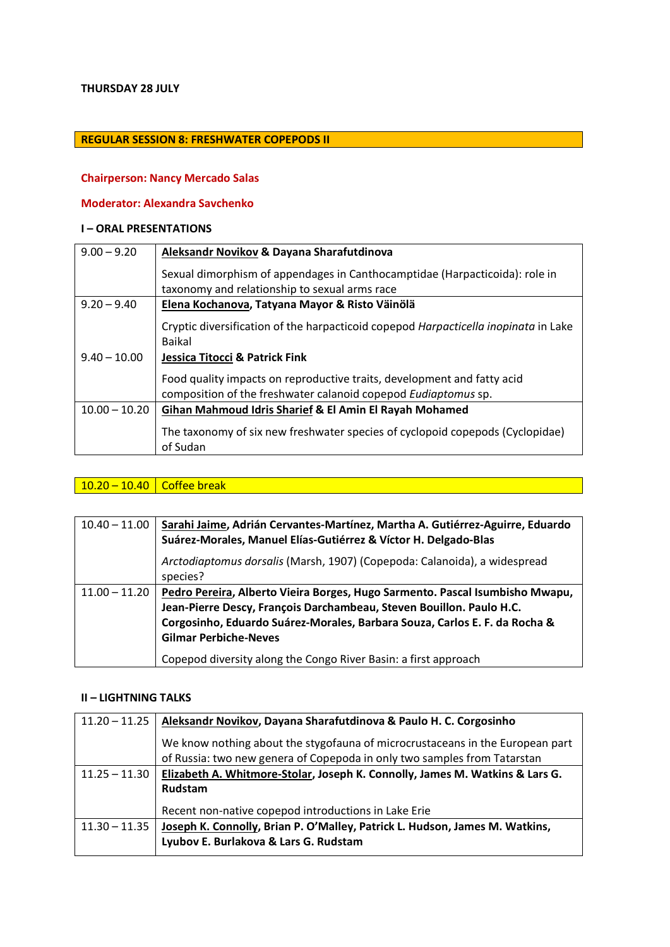#### **THURSDAY 28 JULY**

### **REGULAR SESSION 8: FRESHWATER COPEPODS II**

#### **Chairperson: Nancy Mercado Salas**

### **Moderator: Alexandra Savchenko**

### **I – ORAL PRESENTATIONS**

| $9.00 - 9.20$   | Aleksandr Novikov & Dayana Sharafutdinova                                                                                                 |
|-----------------|-------------------------------------------------------------------------------------------------------------------------------------------|
|                 | Sexual dimorphism of appendages in Canthocamptidae (Harpacticoida): role in<br>taxonomy and relationship to sexual arms race              |
| $9.20 - 9.40$   | Elena Kochanova, Tatyana Mayor & Risto Väinölä                                                                                            |
|                 | Cryptic diversification of the harpacticoid copepod Harpacticella inopinata in Lake<br><b>Baikal</b>                                      |
| $9.40 - 10.00$  | Jessica Titocci & Patrick Fink                                                                                                            |
|                 | Food quality impacts on reproductive traits, development and fatty acid<br>composition of the freshwater calanoid copepod Eudiaptomus sp. |
| $10.00 - 10.20$ | Gihan Mahmoud Idris Sharief & El Amin El Rayah Mohamed                                                                                    |
|                 | The taxonomy of six new freshwater species of cyclopoid copepods (Cyclopidae)<br>of Sudan                                                 |

## 10.20 – 10.40 Coffee break and the state of the state of the state of the state of the state of the state of t

| $10.40 - 11.00$ | Sarahi Jaime, Adrián Cervantes-Martínez, Martha A. Gutiérrez-Aguirre, Eduardo<br>Suárez-Morales, Manuel Elías-Gutiérrez & Víctor H. Delgado-Blas                                                                                                                                                                                      |
|-----------------|---------------------------------------------------------------------------------------------------------------------------------------------------------------------------------------------------------------------------------------------------------------------------------------------------------------------------------------|
|                 | Arctodiaptomus dorsalis (Marsh, 1907) (Copepoda: Calanoida), a widespread<br>species?                                                                                                                                                                                                                                                 |
| $11.00 - 11.20$ | Pedro Pereira, Alberto Vieira Borges, Hugo Sarmento. Pascal Isumbisho Mwapu,<br>Jean-Pierre Descy, François Darchambeau, Steven Bouillon. Paulo H.C.<br>Corgosinho, Eduardo Suárez-Morales, Barbara Souza, Carlos E. F. da Rocha &<br><b>Gilmar Perbiche-Neves</b><br>Copepod diversity along the Congo River Basin: a first approach |

| $11.20 - 11.25$ | Aleksandr Novikov, Dayana Sharafutdinova & Paulo H. C. Corgosinho             |
|-----------------|-------------------------------------------------------------------------------|
|                 | We know nothing about the stygofauna of microcrustaceans in the European part |
|                 | of Russia: two new genera of Copepoda in only two samples from Tatarstan      |
| $11.25 - 11.30$ | Elizabeth A. Whitmore-Stolar, Joseph K. Connolly, James M. Watkins & Lars G.  |
|                 | Rudstam                                                                       |
|                 | Recent non-native copepod introductions in Lake Erie                          |
| $11.30 - 11.35$ | Joseph K. Connolly, Brian P. O'Malley, Patrick L. Hudson, James M. Watkins,   |
|                 | Lyubov E. Burlakova & Lars G. Rudstam                                         |
|                 |                                                                               |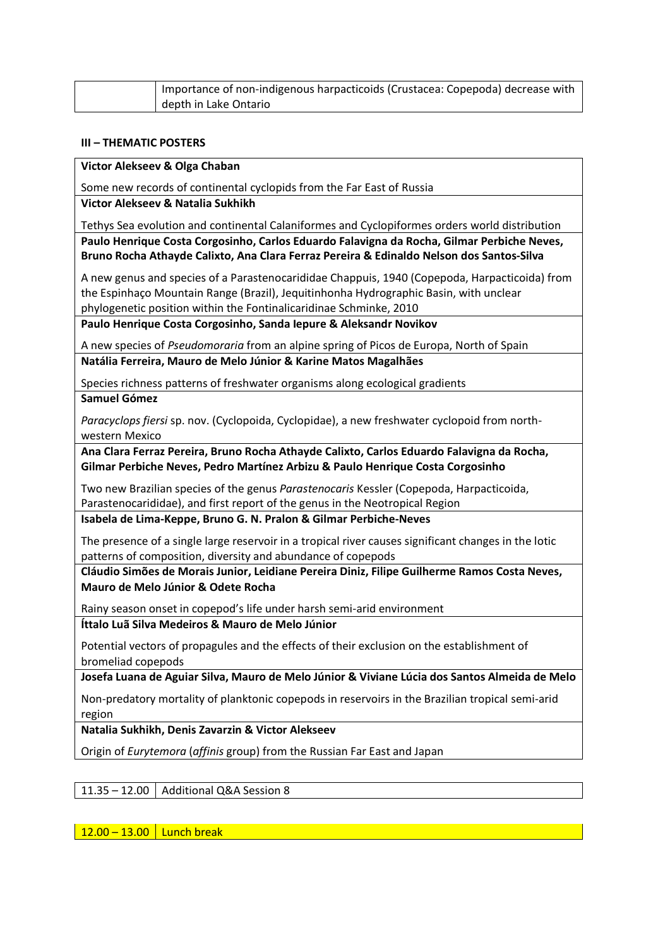| Importance of non-indigenous harpacticoids (Crustacea: Copepoda) decrease with |
|--------------------------------------------------------------------------------|
| depth in Lake Ontario                                                          |

#### **III – THEMATIC POSTERS**

**Victor Alekseev & Olga Chaban**

Some new records of continental cyclopids from the Far East of Russia

**Victor Alekseev & Natalia Sukhikh**

Tethys Sea evolution and continental Calaniformes and Cyclopiformes orders world distribution **Paulo Henrique Costa Corgosinho, Carlos Eduardo Falavigna da Rocha, Gilmar Perbiche Neves, Bruno Rocha Athayde Calixto, Ana Clara Ferraz Pereira & Edinaldo Nelson dos Santos-Silva**

A new genus and species of a Parastenocarididae Chappuis, 1940 (Copepoda, Harpacticoida) from the Espinhaço Mountain Range (Brazil), Jequitinhonha Hydrographic Basin, with unclear phylogenetic position within the Fontinalicaridinae Schminke, 2010

**Paulo Henrique Costa Corgosinho, Sanda Iepure & Aleksandr Novikov**

A new species of *Pseudomoraria* from an alpine spring of Picos de Europa, North of Spain **Natália Ferreira, Mauro de Melo Júnior & Karine Matos Magalhães**

Species richness patterns of freshwater organisms along ecological gradients **Samuel Gómez**

*Paracyclops fiersi* sp. nov. (Cyclopoida, Cyclopidae), a new freshwater cyclopoid from northwestern Mexico

**Ana Clara Ferraz Pereira, Bruno Rocha Athayde Calixto, Carlos Eduardo Falavigna da Rocha, Gilmar Perbiche Neves, Pedro Martínez Arbizu & Paulo Henrique Costa Corgosinho**

Two new Brazilian species of the genus *Parastenocaris* Kessler (Copepoda, Harpacticoida, Parastenocarididae), and first report of the genus in the Neotropical Region

**Isabela de Lima-Keppe, Bruno G. N. Pralon & Gilmar Perbiche-Neves**

The presence of a single large reservoir in a tropical river causes significant changes in the lotic patterns of composition, diversity and abundance of copepods

**Cláudio Simões de Morais Junior, Leidiane Pereira Diniz, Filipe Guilherme Ramos Costa Neves, Mauro de Melo Júnior & Odete Rocha**

Rainy season onset in copepod's life under harsh semi-arid environment

**Íttalo Luã Silva Medeiros & Mauro de Melo Júnior**

Potential vectors of propagules and the effects of their exclusion on the establishment of bromeliad copepods

**Josefa Luana de Aguiar Silva, Mauro de Melo Júnior & Viviane Lúcia dos Santos Almeida de Melo**

Non-predatory mortality of planktonic copepods in reservoirs in the Brazilian tropical semi-arid region

**Natalia Sukhikh, Denis Zavarzin & Victor Alekseev**

Origin of *Eurytemora* (*affinis* group) from the Russian Far East and Japan

11.35 – 12.00  $\vert$  Additional Q&A Session 8

 $12.00 - 13.00$  Lunch break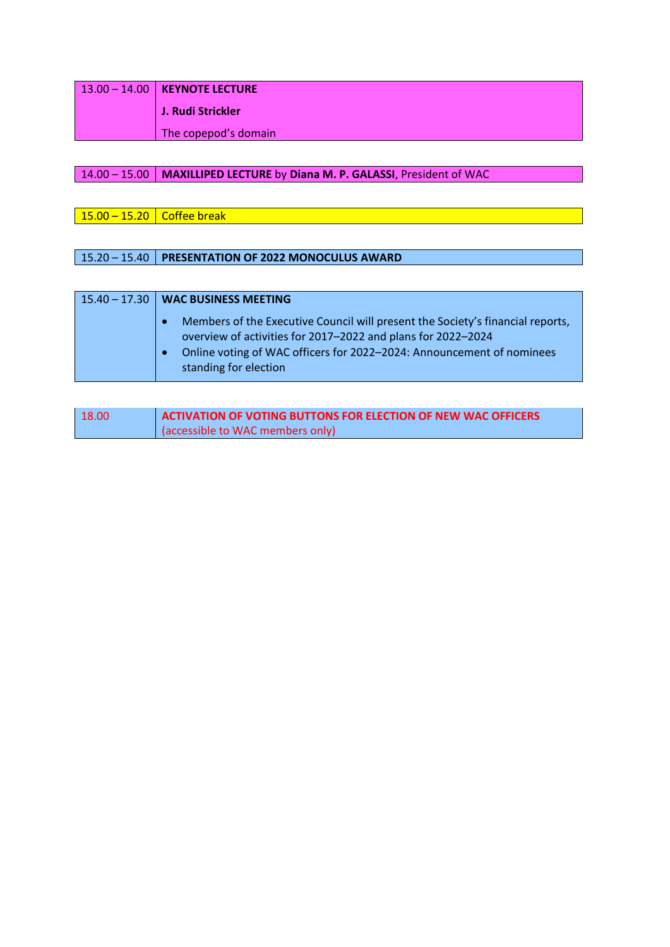| $13.00 - 14.00$ KEYNOTE LECTURE |
|---------------------------------|
| J. Rudi Strickler               |
| The copepod's domain            |

# 14.00 – 15.00 **MAXILLIPED LECTURE** by **Diana M. P. GALASSI**, President of WAC

 $15.00 - 15.20$  Coffee break

# 15.20 – 15.40 **PRESENTATION OF 2022 MONOCULUS AWARD**

| $15.40 - 17.30$ WAC BUSINESS MEETING                                                                                                                                                                                                             |
|--------------------------------------------------------------------------------------------------------------------------------------------------------------------------------------------------------------------------------------------------|
| Members of the Executive Council will present the Society's financial reports,<br>overview of activities for 2017-2022 and plans for 2022-2024<br>Online voting of WAC officers for 2022-2024: Announcement of nominees<br>standing for election |

| 18.00 | ACTIVATION OF VOTING BUTTONS FOR ELECTION OF NEW WAC OFFICERS |
|-------|---------------------------------------------------------------|
|       | (accessible to WAC members only)                              |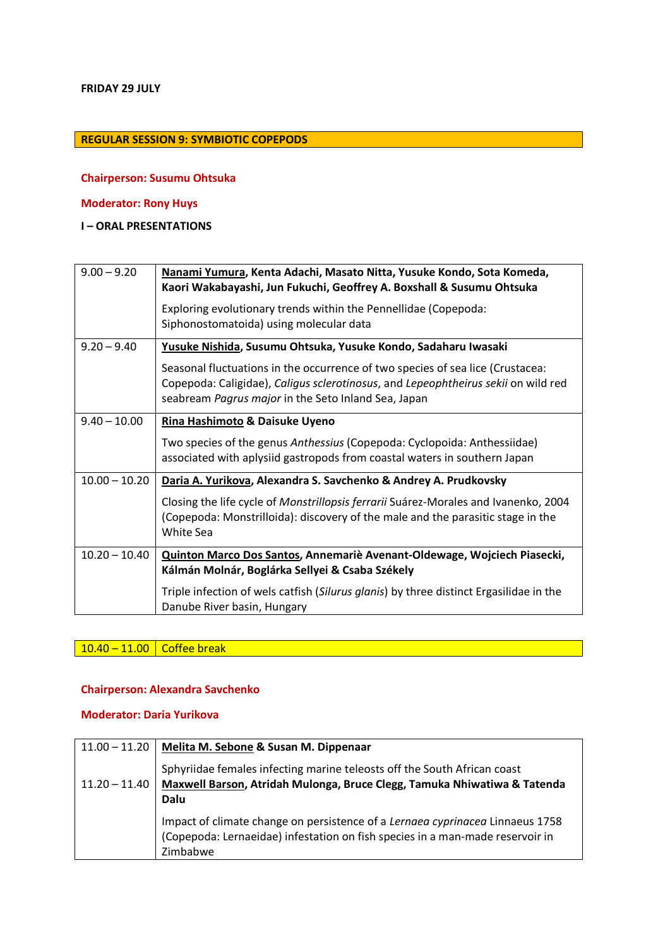### **REGULAR SESSION 9: SYMBIOTIC COPEPODS**

#### **Chairperson: Susumu Ohtsuka**

### **Moderator: Rony Huys**

**I – ORAL PRESENTATIONS**

| $9.00 - 9.20$   | Nanami Yumura, Kenta Adachi, Masato Nitta, Yusuke Kondo, Sota Komeda,<br>Kaori Wakabayashi, Jun Fukuchi, Geoffrey A. Boxshall & Susumu Ohtsuka                                                                             |
|-----------------|----------------------------------------------------------------------------------------------------------------------------------------------------------------------------------------------------------------------------|
|                 | Exploring evolutionary trends within the Pennellidae (Copepoda:<br>Siphonostomatoida) using molecular data                                                                                                                 |
| $9.20 - 9.40$   | Yusuke Nishida, Susumu Ohtsuka, Yusuke Kondo, Sadaharu Iwasaki                                                                                                                                                             |
|                 | Seasonal fluctuations in the occurrence of two species of sea lice (Crustacea:<br>Copepoda: Caligidae), Caligus sclerotinosus, and Lepeophtheirus sekii on wild red<br>seabream Pagrus major in the Seto Inland Sea, Japan |
| $9.40 - 10.00$  | Rina Hashimoto & Daisuke Uyeno                                                                                                                                                                                             |
|                 | Two species of the genus Anthessius (Copepoda: Cyclopoida: Anthessiidae)<br>associated with aplysiid gastropods from coastal waters in southern Japan                                                                      |
| $10.00 - 10.20$ | Daria A. Yurikova, Alexandra S. Savchenko & Andrey A. Prudkovsky                                                                                                                                                           |
|                 | Closing the life cycle of Monstrillopsis ferrarii Suárez-Morales and Ivanenko, 2004<br>(Copepoda: Monstrilloida): discovery of the male and the parasitic stage in the<br>White Sea                                        |
| $10.20 - 10.40$ | Quinton Marco Dos Santos, Annemariè Avenant-Oldewage, Wojciech Piasecki,<br>Kálmán Molnár, Boglárka Sellyei & Csaba Székely                                                                                                |
|                 | Triple infection of wels catfish (Silurus glanis) by three distinct Ergasilidae in the<br>Danube River basin, Hungary                                                                                                      |

10.40 – 11.00 Coffee break

### **Chairperson: Alexandra Savchenko**

#### **Moderator: Daria Yurikova**

| $11.00 - 11.20$ | Melita M. Sebone & Susan M. Dippenaar                                                                                                                          |
|-----------------|----------------------------------------------------------------------------------------------------------------------------------------------------------------|
|                 | Sphyriidae females infecting marine teleosts off the South African coast                                                                                       |
| $11.20 - 11.40$ | Maxwell Barson, Atridah Mulonga, Bruce Clegg, Tamuka Nhiwatiwa & Tatenda<br>Dalu                                                                               |
|                 |                                                                                                                                                                |
|                 | Impact of climate change on persistence of a Lernaea cyprinacea Linnaeus 1758<br>(Copepoda: Lernaeidae) infestation on fish species in a man-made reservoir in |
|                 | Zimbabwe                                                                                                                                                       |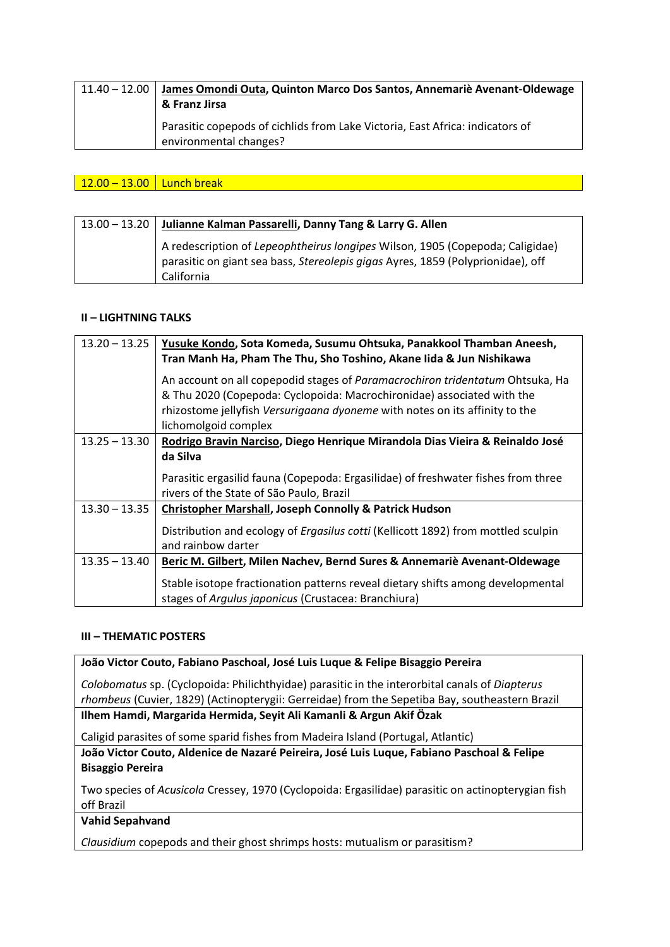| $11.40 - 12.00$ | James Omondi Outa, Quinton Marco Dos Santos, Annemariè Avenant-Oldewage<br>& Franz Jirsa                |
|-----------------|---------------------------------------------------------------------------------------------------------|
|                 | Parasitic copepods of cichlids from Lake Victoria, East Africa: indicators of<br>environmental changes? |

 $12.00 - 13.00$  Lunch break

| 13.00 – 13.20 Julianne Kalman Passarelli, Danny Tang & Larry G. Allen                                                                                                          |
|--------------------------------------------------------------------------------------------------------------------------------------------------------------------------------|
| A redescription of Lepeophtheirus longipes Wilson, 1905 (Copepoda; Caligidae)<br>parasitic on giant sea bass, Stereolepis gigas Ayres, 1859 (Polyprionidae), off<br>California |

### **II – LIGHTNING TALKS**

| $13.20 - 13.25$ | Yusuke Kondo, Sota Komeda, Susumu Ohtsuka, Panakkool Thamban Aneesh,<br>Tran Manh Ha, Pham The Thu, Sho Toshino, Akane Iida & Jun Nishikawa |
|-----------------|---------------------------------------------------------------------------------------------------------------------------------------------|
|                 | An account on all copepodid stages of Paramacrochiron tridentatum Ohtsuka, Ha                                                               |
|                 | & Thu 2020 (Copepoda: Cyclopoida: Macrochironidae) associated with the                                                                      |
|                 | rhizostome jellyfish Versurigaana dyoneme with notes on its affinity to the                                                                 |
|                 | lichomolgoid complex                                                                                                                        |
| $13.25 - 13.30$ | Rodrigo Bravin Narciso, Diego Henrique Mirandola Dias Vieira & Reinaldo José                                                                |
|                 | da Silva                                                                                                                                    |
|                 | Parasitic ergasilid fauna (Copepoda: Ergasilidae) of freshwater fishes from three                                                           |
|                 | rivers of the State of São Paulo, Brazil                                                                                                    |
| $13.30 - 13.35$ | <b>Christopher Marshall, Joseph Connolly &amp; Patrick Hudson</b>                                                                           |
|                 | Distribution and ecology of <i>Ergasilus cotti</i> (Kellicott 1892) from mottled sculpin                                                    |
|                 | and rainbow darter                                                                                                                          |
| $13.35 - 13.40$ | Beric M. Gilbert, Milen Nachev, Bernd Sures & Annemariè Avenant-Oldewage                                                                    |
|                 |                                                                                                                                             |
|                 | Stable isotope fractionation patterns reveal dietary shifts among developmental                                                             |
|                 | stages of Argulus japonicus (Crustacea: Branchiura)                                                                                         |

#### **III – THEMATIC POSTERS**

**João Victor Couto, Fabiano Paschoal, José Luis Luque & Felipe Bisaggio Pereira**

*Colobomatus* sp. (Cyclopoida: Philichthyidae) parasitic in the interorbital canals of *Diapterus rhombeus* (Cuvier, 1829) (Actinopterygii: Gerreidae) from the Sepetiba Bay, southeastern Brazil

**Ilhem Hamdi, Margarida Hermida, Seyit Ali Kamanli & Argun Akif Özak**

Caligid parasites of some sparid fishes from Madeira Island (Portugal, Atlantic)

**João Victor Couto, Aldenice de Nazaré Peireira, José Luis Luque, Fabiano Paschoal & Felipe Bisaggio Pereira**

Two species of *Acusicola* Cressey, 1970 (Cyclopoida: Ergasilidae) parasitic on actinopterygian fish off Brazil

**Vahid Sepahvand**

*Clausidium* copepods and their ghost shrimps hosts: mutualism or parasitism?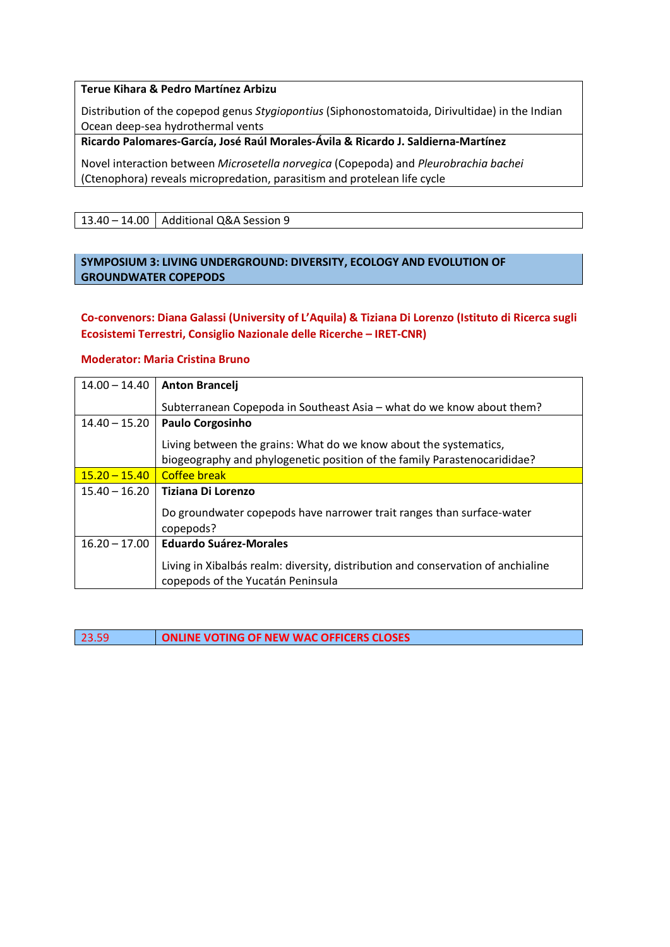#### **Terue Kihara & Pedro Martínez Arbizu**

Distribution of the copepod genus *Stygiopontius* (Siphonostomatoida, Dirivultidae) in the Indian Ocean deep-sea hydrothermal vents

**Ricardo Palomares-García, José Raúl Morales-Ávila & Ricardo J. Saldierna-Martínez**

Novel interaction between *Microsetella norvegica* (Copepoda) and *Pleurobrachia bachei* (Ctenophora) reveals micropredation, parasitism and protelean life cycle

13.40 – 14.00  $\vert$  Additional Q&A Session 9

### **SYMPOSIUM 3: LIVING UNDERGROUND: DIVERSITY, ECOLOGY AND EVOLUTION OF GROUNDWATER COPEPODS**

**Co-convenors: Diana Galassi (University of L'Aquila) & Tiziana Di Lorenzo (Istituto di Ricerca sugli Ecosistemi Terrestri, Consiglio Nazionale delle Ricerche – IRET-CNR)**

#### **Moderator: Maria Cristina Bruno**

| $14.00 - 14.40$ | <b>Anton Brancelj</b>                                                                                                 |
|-----------------|-----------------------------------------------------------------------------------------------------------------------|
|                 | Subterranean Copepoda in Southeast Asia - what do we know about them?                                                 |
| $14.40 - 15.20$ | <b>Paulo Corgosinho</b>                                                                                               |
|                 | Living between the grains: What do we know about the systematics,                                                     |
|                 | biogeography and phylogenetic position of the family Parastenocarididae?                                              |
| $15.20 - 15.40$ | Coffee break                                                                                                          |
| $15.40 - 16.20$ | Tiziana Di Lorenzo                                                                                                    |
|                 | Do groundwater copepods have narrower trait ranges than surface-water<br>copepods?                                    |
| $16.20 - 17.00$ | <b>Eduardo Suárez-Morales</b>                                                                                         |
|                 | Living in Xibalbás realm: diversity, distribution and conservation of anchialine<br>copepods of the Yucatán Peninsula |

23.59 **ONLINE VOTING OF NEW WAC OFFICERS CLOSES**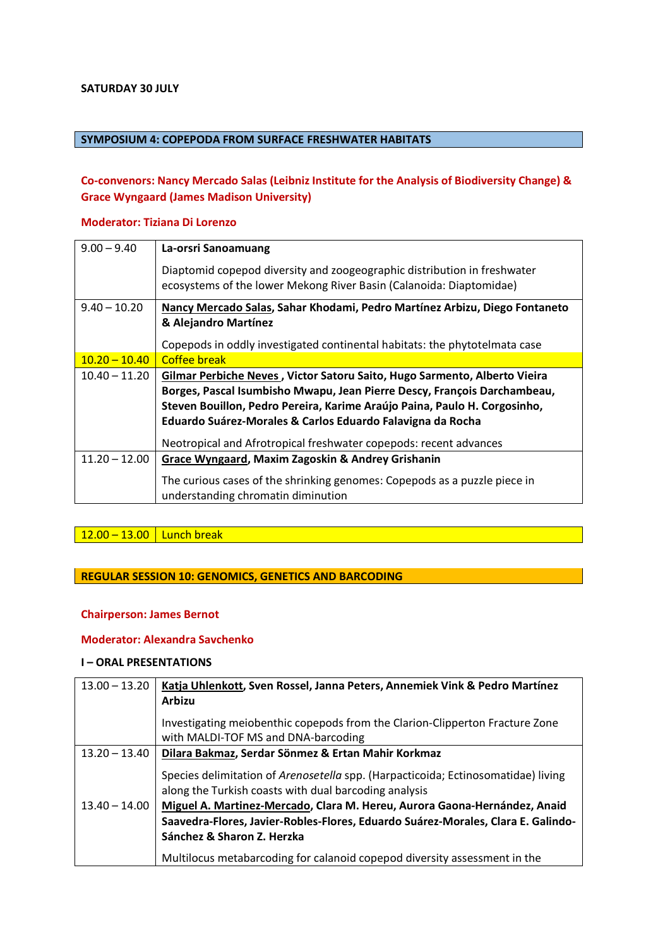#### **SATURDAY 30 JULY**

### **SYMPOSIUM 4: COPEPODA FROM SURFACE FRESHWATER HABITATS**

# **Co-convenors: Nancy Mercado Salas (Leibniz Institute for the Analysis of Biodiversity Change) & Grace Wyngaard (James Madison University)**

#### **Moderator: Tiziana Di Lorenzo**

| $9.00 - 9.40$   | La-orsri Sanoamuang                                                        |
|-----------------|----------------------------------------------------------------------------|
|                 | Diaptomid copepod diversity and zoogeographic distribution in freshwater   |
|                 | ecosystems of the lower Mekong River Basin (Calanoida: Diaptomidae)        |
|                 |                                                                            |
| $9.40 - 10.20$  | Nancy Mercado Salas, Sahar Khodami, Pedro Martínez Arbizu, Diego Fontaneto |
|                 | & Alejandro Martínez                                                       |
|                 |                                                                            |
|                 | Copepods in oddly investigated continental habitats: the phytotelmata case |
| $10.20 - 10.40$ | Coffee break                                                               |
| $10.40 - 11.20$ | Gilmar Perbiche Neves, Victor Satoru Saito, Hugo Sarmento, Alberto Vieira  |
|                 | Borges, Pascal Isumbisho Mwapu, Jean Pierre Descy, François Darchambeau,   |
|                 | Steven Bouillon, Pedro Pereira, Karime Araújo Paina, Paulo H. Corgosinho,  |
|                 | Eduardo Suárez-Morales & Carlos Eduardo Falavigna da Rocha                 |
|                 |                                                                            |
|                 | Neotropical and Afrotropical freshwater copepods: recent advances          |
| $11.20 - 12.00$ | Grace Wyngaard, Maxim Zagoskin & Andrey Grishanin                          |
|                 |                                                                            |
|                 | The curious cases of the shrinking genomes: Copepods as a puzzle piece in  |
|                 | understanding chromatin diminution                                         |
|                 |                                                                            |

### $12.00 - 13.00$  Lunch break

### **REGULAR SESSION 10: GENOMICS, GENETICS AND BARCODING**

### **Chairperson: James Bernot**

#### **Moderator: Alexandra Savchenko**

### **I – ORAL PRESENTATIONS**

| $13.00 - 13.20$ | Katja Uhlenkott, Sven Rossel, Janna Peters, Annemiek Vink & Pedro Martínez<br><b>Arbizu</b>                                                |
|-----------------|--------------------------------------------------------------------------------------------------------------------------------------------|
|                 | Investigating meiobenthic copepods from the Clarion-Clipperton Fracture Zone<br>with MALDI-TOF MS and DNA-barcoding                        |
| $13.20 - 13.40$ | Dilara Bakmaz, Serdar Sönmez & Ertan Mahir Korkmaz                                                                                         |
|                 | Species delimitation of Arenosetella spp. (Harpacticoida; Ectinosomatidae) living<br>along the Turkish coasts with dual barcoding analysis |
| $13.40 - 14.00$ | Miguel A. Martinez-Mercado, Clara M. Hereu, Aurora Gaona-Hernández, Anaid                                                                  |
|                 | Saavedra-Flores, Javier-Robles-Flores, Eduardo Suárez-Morales, Clara E. Galindo-                                                           |
|                 | Sánchez & Sharon Z. Herzka                                                                                                                 |
|                 | Multilocus metabarcoding for calanoid copepod diversity assessment in the                                                                  |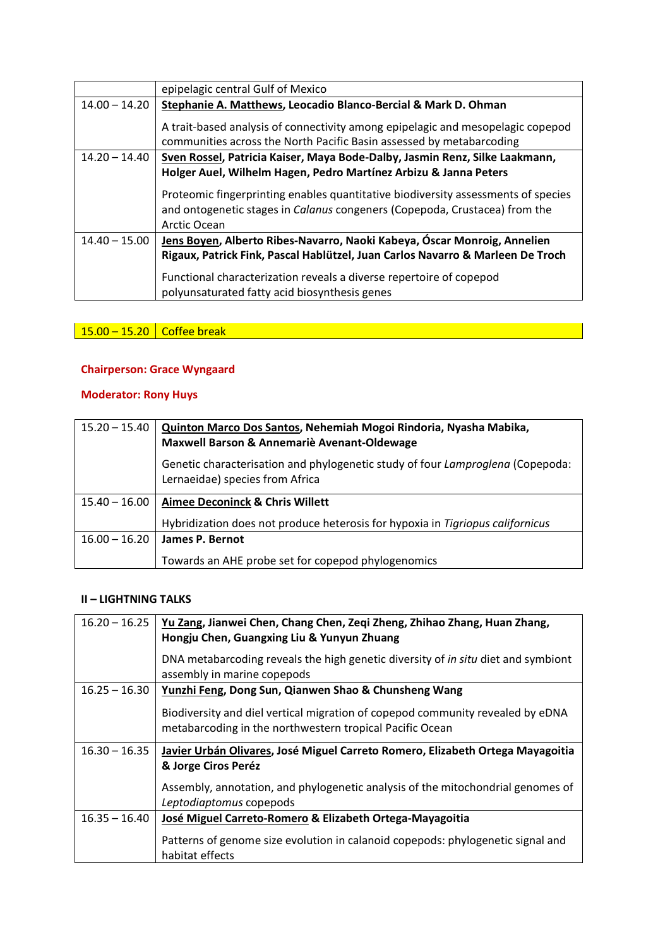|                 | epipelagic central Gulf of Mexico                                                                                                                                               |
|-----------------|---------------------------------------------------------------------------------------------------------------------------------------------------------------------------------|
| $14.00 - 14.20$ | Stephanie A. Matthews, Leocadio Blanco-Bercial & Mark D. Ohman                                                                                                                  |
|                 | A trait-based analysis of connectivity among epipelagic and mesopelagic copepod<br>communities across the North Pacific Basin assessed by metabarcoding                         |
| $14.20 - 14.40$ | Sven Rossel, Patricia Kaiser, Maya Bode-Dalby, Jasmin Renz, Silke Laakmann,                                                                                                     |
|                 | Holger Auel, Wilhelm Hagen, Pedro Martínez Arbizu & Janna Peters                                                                                                                |
|                 | Proteomic fingerprinting enables quantitative biodiversity assessments of species<br>and ontogenetic stages in Calanus congeners (Copepoda, Crustacea) from the<br>Arctic Ocean |
| $14.40 - 15.00$ | Jens Boyen, Alberto Ribes-Navarro, Naoki Kabeya, Óscar Monroig, Annelien                                                                                                        |
|                 | Rigaux, Patrick Fink, Pascal Hablützel, Juan Carlos Navarro & Marleen De Troch                                                                                                  |
|                 | Functional characterization reveals a diverse repertoire of copepod                                                                                                             |
|                 | polyunsaturated fatty acid biosynthesis genes                                                                                                                                   |

15.00 – 15.20 Coffee break

# **Chairperson: Grace Wyngaard**

# **Moderator: Rony Huys**

| $15.20 - 15.40$ | Quinton Marco Dos Santos, Nehemiah Mogoi Rindoria, Nyasha Mabika,<br>Maxwell Barson & Annemariè Avenant-Oldewage  |
|-----------------|-------------------------------------------------------------------------------------------------------------------|
|                 | Genetic characterisation and phylogenetic study of four Lamproglena (Copepoda:<br>Lernaeidae) species from Africa |
| $15.40 - 16.00$ | <b>Aimee Deconinck &amp; Chris Willett</b>                                                                        |
|                 | Hybridization does not produce heterosis for hypoxia in Tigriopus californicus                                    |
| $16.00 - 16.20$ | James P. Bernot                                                                                                   |
|                 | Towards an AHE probe set for copepod phylogenomics                                                                |

| $16.20 - 16.25$ | Yu Zang, Jianwei Chen, Chang Chen, Zeqi Zheng, Zhihao Zhang, Huan Zhang,<br>Hongju Chen, Guangxing Liu & Yunyun Zhuang                     |
|-----------------|--------------------------------------------------------------------------------------------------------------------------------------------|
|                 | DNA metabarcoding reveals the high genetic diversity of in situ diet and symbiont<br>assembly in marine copepods                           |
| $16.25 - 16.30$ | Yunzhi Feng, Dong Sun, Qianwen Shao & Chunsheng Wang                                                                                       |
|                 | Biodiversity and diel vertical migration of copepod community revealed by eDNA<br>metabarcoding in the northwestern tropical Pacific Ocean |
| $16.30 - 16.35$ | Javier Urbán Olivares, José Miguel Carreto Romero, Elizabeth Ortega Mayagoitia<br>& Jorge Ciros Peréz                                      |
|                 | Assembly, annotation, and phylogenetic analysis of the mitochondrial genomes of<br>Leptodiaptomus copepods                                 |
| $16.35 - 16.40$ | José Miguel Carreto-Romero & Elizabeth Ortega-Mayagoitia                                                                                   |
|                 | Patterns of genome size evolution in calanoid copepods: phylogenetic signal and<br>habitat effects                                         |